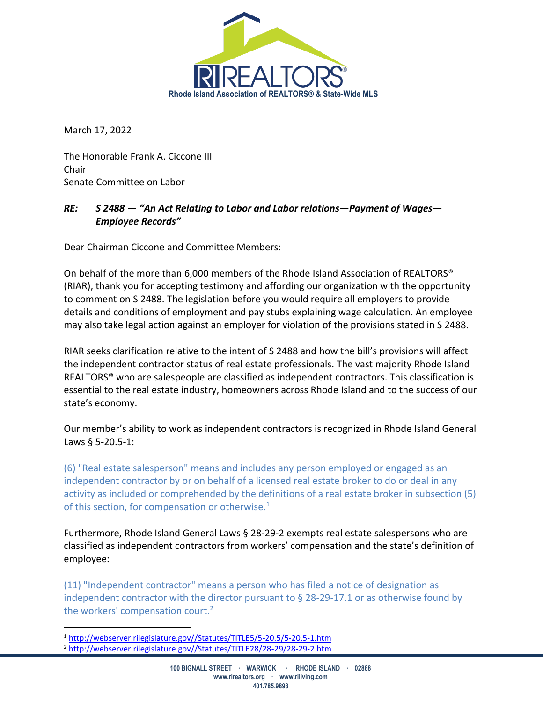

March 17, 2022

The Honorable Frank A. Ciccone III Chair Senate Committee on Labor

## *RE: S 2488 — "An Act Relating to Labor and Labor relations—Payment of Wages— Employee Records"*

Dear Chairman Ciccone and Committee Members:

On behalf of the more than 6,000 members of the Rhode Island Association of REALTORS® (RIAR), thank you for accepting testimony and affording our organization with the opportunity to comment on S 2488. The legislation before you would require all employers to provide details and conditions of employment and pay stubs explaining wage calculation. An employee may also take legal action against an employer for violation of the provisions stated in S 2488.

RIAR seeks clarification relative to the intent of S 2488 and how the bill's provisions will affect the independent contractor status of real estate professionals. The vast majority Rhode Island REALTORS® who are salespeople are classified as independent contractors. This classification is essential to the real estate industry, homeowners across Rhode Island and to the success of our state's economy.

Our member's ability to work as independent contractors is recognized in Rhode Island General Laws § 5-20.5-1:

(6) "Real estate salesperson" means and includes any person employed or engaged as an independent contractor by or on behalf of a licensed real estate broker to do or deal in any activity as included or comprehended by the definitions of a real estate broker in subsection (5) of this section, for compensation or otherwise.<sup>1</sup>

Furthermore, Rhode Island General Laws § 28-29-2 exempts real estate salespersons who are classified as independent contractors from workers' compensation and the state's definition of employee:

(11) "Independent contractor" means a person who has filed a notice of designation as independent contractor with the director pursuant to § 28-29-17.1 or as otherwise found by the workers' compensation court.<sup>2</sup>

<sup>1</sup> [http://webserver.rilegislature.gov//Statutes/TITLE5/5-20.5/5-20.5-1.htm](http://webserver.rilegislature.gov/Statutes/TITLE5/5-20.5/5-20.5-1.htm)

<sup>2</sup> [http://webserver.rilegislature.gov//Statutes/TITLE28/28-29/28-29-2.htm](http://webserver.rilegislature.gov/Statutes/TITLE28/28-29/28-29-2.htm)